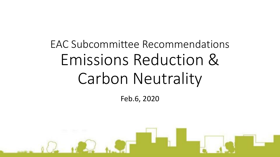# EAC Subcommittee Recommendations Emissions Reduction & Carbon Neutrality

Feb.6, 2020

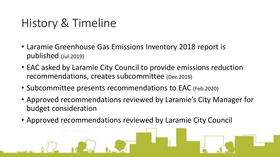### History & Timeline

- Laramie Greenhouse Gas Emissions Inventory 2018 report is published (Jul.2019)
- EAC asked by Laramie City Council to provide emissions reduction recommendations, creates subcommittee (Dec.2019)
- Subcommittee presents recommendations to EAC (Feb.2020)
- Approved recommendations reviewed by Laramie's City Manager for budget consideration
- Approved recommendations reviewed by Laramie City Council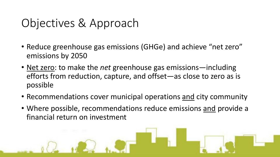# Objectives & Approach

- Reduce greenhouse gas emissions (GHGe) and achieve "net zero" emissions by 2050
- Net zero: to make the *net* greenhouse gas emissions—including efforts from reduction, capture, and offset—as close to zero as is possible
- Recommendations cover municipal operations and city community
- Where possible, recommendations reduce emissions and provide a financial return on investment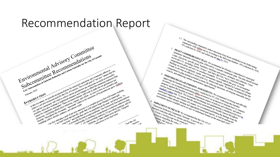#### Recommendation Report





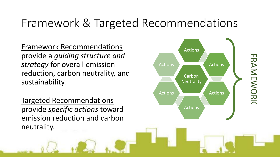### Framework & Targeted Recommendations

Framework Recommendations provide a *guiding structure and strategy* for overall emission reduction, carbon neutrality, and sustainability.

Targeted Recommendations provide *specific actions* toward emission reduction and carbon neutrality.

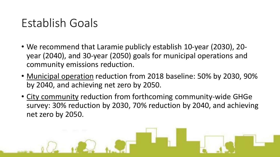### Establish Goals

- We recommend that Laramie publicly establish 10-year (2030), 20 year (2040), and 30-year (2050) goals for municipal operations and community emissions reduction.
- Municipal operation reduction from 2018 baseline: 50% by 2030, 90% by 2040, and achieving net zero by 2050.
- City community reduction from forthcoming community-wide GHGe survey: 30% reduction by 2030, 70% reduction by 2040, and achieving net zero by 2050.

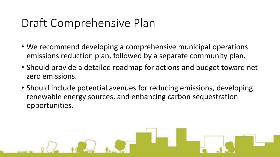# Draft Comprehensive Plan

- We recommend developing a comprehensive municipal operations emissions reduction plan, followed by a separate community plan.
- Should provide a detailed roadmap for actions and budget toward net zero emissions.
- Should include potential avenues for reducing emissions, developing renewable energy sources, and enhancing carbon sequestration opportunities.

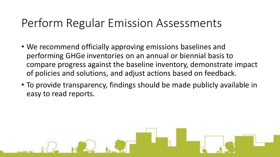### Perform Regular Emission Assessments

- We recommend officially approving emissions baselines and performing GHGe inventories on an annual or biennial basis to compare progress against the baseline inventory, demonstrate impact of policies and solutions, and adjust actions based on feedback.
- To provide transparency, findings should be made publicly available in easy to read reports.

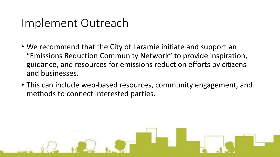#### Implement Outreach

- We recommend that the City of Laramie initiate and support an "Emissions Reduction Community Network" to provide inspiration, guidance, and resources for emissions reduction efforts by citizens and businesses.
- This can include web-based resources, community engagement, and methods to connect interested parties.

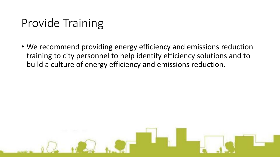### Provide Training

• We recommend providing energy efficiency and emissions reduction training to city personnel to help identify efficiency solutions and to build a culture of energy efficiency and emissions reduction.

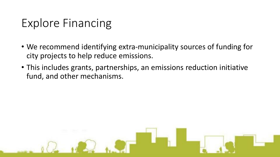# Explore Financing

- We recommend identifying extra-municipality sources of funding for city projects to help reduce emissions.
- This includes grants, partnerships, an emissions reduction initiative fund, and other mechanisms.

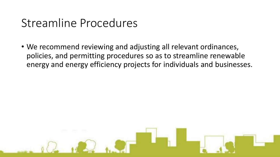### Streamline Procedures

• We recommend reviewing and adjusting all relevant ordinances, policies, and permitting procedures so as to streamline renewable energy and energy efficiency projects for individuals and businesses.

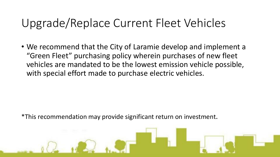### Upgrade/Replace Current Fleet Vehicles

• We recommend that the City of Laramie develop and implement a "Green Fleet" purchasing policy wherein purchases of new fleet vehicles are mandated to be the lowest emission vehicle possible, with special effort made to purchase electric vehicles.

\*This recommendation may provide significant return on investment.

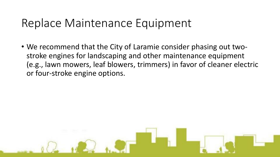### Replace Maintenance Equipment

• We recommend that the City of Laramie consider phasing out twostroke engines for landscaping and other maintenance equipment (e.g., lawn mowers, leaf blowers, trimmers) in favor of cleaner electric or four-stroke engine options.

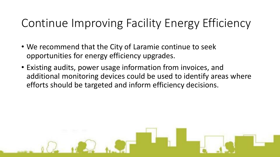# Continue Improving Facility Energy Efficiency

- We recommend that the City of Laramie continue to seek opportunities for energy efficiency upgrades.
- Existing audits, power usage information from invoices, and additional monitoring devices could be used to identify areas where efforts should be targeted and inform efficiency decisions.

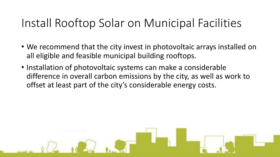### Install Rooftop Solar on Municipal Facilities

- We recommend that the city invest in photovoltaic arrays installed on all eligible and feasible municipal building rooftops.
- Installation of photovoltaic systems can make a considerable difference in overall carbon emissions by the city, as well as work to offset at least part of the city's considerable energy costs.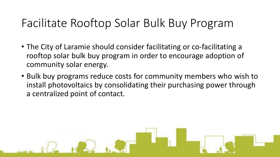### Facilitate Rooftop Solar Bulk Buy Program

- The City of Laramie should consider facilitating or co-facilitating a rooftop solar bulk buy program in order to encourage adoption of community solar energy.
- Bulk buy programs reduce costs for community members who wish to install photovoltaics by consolidating their purchasing power through a centralized point of contact.

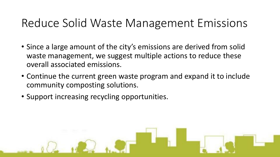### Reduce Solid Waste Management Emissions

- Since a large amount of the city's emissions are derived from solid waste management, we suggest multiple actions to reduce these overall associated emissions.
- Continue the current green waste program and expand it to include community composting solutions.
- Support increasing recycling opportunities.

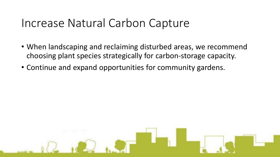#### Increase Natural Carbon Capture

- When landscaping and reclaiming disturbed areas, we recommend choosing plant species strategically for carbon-storage capacity.
- Continue and expand opportunities for community gardens.